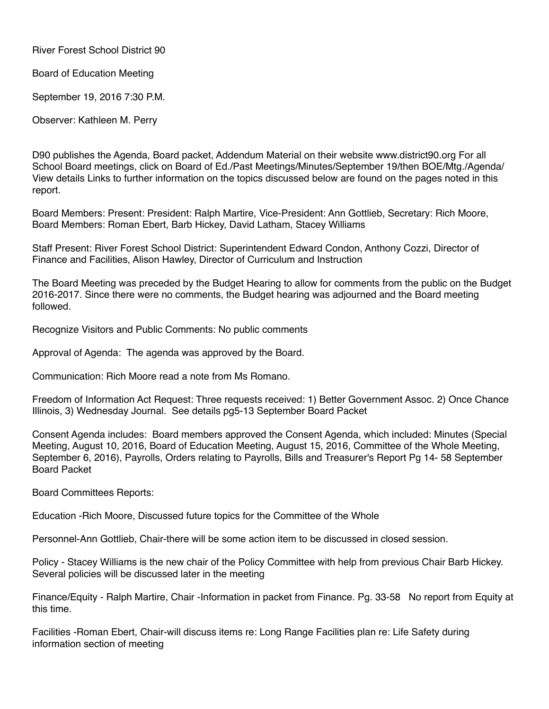River Forest School District 90

Board of Education Meeting

September 19, 2016 7:30 P.M.

Observer: Kathleen M. Perry

D90 publishes the Agenda, Board packet, Addendum Material on their website www.district90.org For all School Board meetings, click on Board of Ed./Past Meetings/Minutes/September 19/then BOE/Mtg./Agenda/ View details Links to further information on the topics discussed below are found on the pages noted in this report.

Board Members: Present: President: Ralph Martire, Vice-President: Ann Gottlieb, Secretary: Rich Moore, Board Members: Roman Ebert, Barb Hickey, David Latham, Stacey Williams

Staff Present: River Forest School District: Superintendent Edward Condon, Anthony Cozzi, Director of Finance and Facilities, Alison Hawley, Director of Curriculum and Instruction

The Board Meeting was preceded by the Budget Hearing to allow for comments from the public on the Budget 2016-2017. Since there were no comments, the Budget hearing was adjourned and the Board meeting followed.

Recognize Visitors and Public Comments: No public comments

Approval of Agenda: The agenda was approved by the Board.

Communication: Rich Moore read a note from Ms Romano.

Freedom of Information Act Request: Three requests received: 1) Better Government Assoc. 2) Once Chance Illinois, 3) Wednesday Journal. See details pg5-13 September Board Packet

Consent Agenda includes: Board members approved the Consent Agenda, which included: Minutes (Special Meeting, August 10, 2016, Board of Education Meeting, August 15, 2016, Committee of the Whole Meeting, September 6, 2016), Payrolls, Orders relating to Payrolls, Bills and Treasurer's Report Pg 14- 58 September Board Packet

Board Committees Reports:

Education -Rich Moore, Discussed future topics for the Committee of the Whole

Personnel-Ann Gottlieb, Chair-there will be some action item to be discussed in closed session.

Policy - Stacey Williams is the new chair of the Policy Committee with help from previous Chair Barb Hickey. Several policies will be discussed later in the meeting

Finance/Equity - Ralph Martire, Chair -Information in packet from Finance. Pg. 33-58 No report from Equity at this time.

Facilities -Roman Ebert, Chair-will discuss items re: Long Range Facilities plan re: Life Safety during information section of meeting